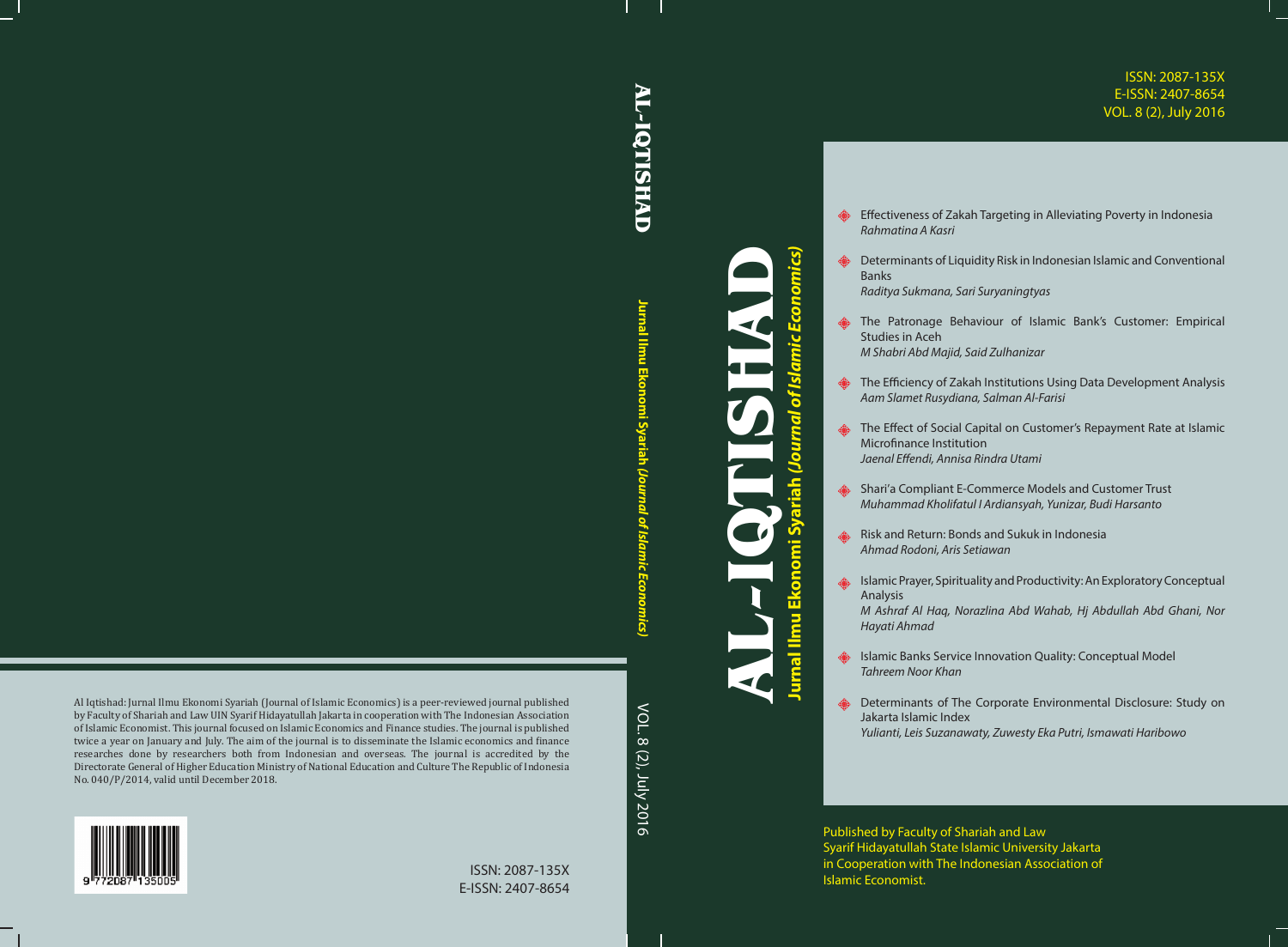## ISSN: 2087-135X E-ISSN: 2407-8654 VOL. 8 (2), July 2016

- **Effectiveness of Zakah Targeting in Alleviating Poverty in Indonesia** *Rahmatina A Kasri*
- **AS** Determinants of Liquidity Risk in Indonesian Islamic and Conventional Banks *Raditya Sukmana, Sari Suryaningtyas*
- **EXECUTE:** The Patronage Behaviour of Islamic Bank's Customer: Empirical Studies in Aceh *M Shabri Abd Majid, Said Zulhanizar*
- **EXECTED** The Efficiency of Zakah Institutions Using Data Development Analysis *Aam Slamet Rusydiana, Salman Al-Farisi*
- **EXECTE:** The Effect of Social Capital on Customer's Repayment Rate at Islamic Microfinance Institution *Jaenal Effendi, Annisa Rindra Utami*
- **Shari'a Compliant E-Commerce Models and Customer Trust** *Muhammad Kholifatul I Ardiansyah, Yunizar, Budi Harsanto*
- Risk and Return: Bonds and Sukuk in Indonesia *Ahmad Rodoni, Aris Setiawan*
- Islamic Prayer, Spirituality and Productivity: An Exploratory Conceptual Analysis
	- *M Ashraf Al Haq, Norazlina Abd Wahab, Hj Abdullah Abd Ghani, Nor Hayati Ahmad*
- Islamic Banks Service Innovation Quality: Conceptual Model *Tahreem Noor Khan*
- **BEDEFERGER DETERMING DETERMINANTS** of The Corporate Environmental Disclosure: Study on Jakarta Islamic Index *Yulianti, Leis Suzanawaty, Zuwesty Eka Putri, Ismawati Haribowo*

Published by Faculty of Shariah and Law Syarif Hidayatullah State Islamic University Jakarta in Cooperation with The Indonesian Association of Islamic Economist.

**AL-IQTISHAD AL-IQTISHAD** 

> **Jurnal Ilmu Ekonomi Syariah**Jurnal Ilmu conomi Syariah (Jo  *(Journal of Islamic Economics)*

**AL-IQTISHAD**

**Jurnal Ilmu Ekonomi Syariah** *(Journal of Islamic Economics)*

 $\frac{1}{\mathbf{e}}$ 

<u>ທີ</u>

konomi

ш

nal limu

(Journal

of Isl

omics)

Al Iqtishad: Jurnal Ilmu Ekonomi Syariah (Journal of Islamic Economics) is a peer-reviewed journal published by Faculty of Shariah and Law UIN Syarif Hidayatullah Jakarta in cooperation with The Indonesian Association of Islamic Economist. This journal focused on Islamic Economics and Finance studies. The journal is published twice a year on January and July. The aim of the journal is to disseminate the Islamic economics and finance researches done by researchers both from Indonesian and overseas. The journal is accredited by the Directorate General of Higher Education Ministry of National Education and Culture The Republic of Indonesia No. 040/P/2014, valid until December 2018.





ISSN: 2087-135X E-ISSN: 2407-8654